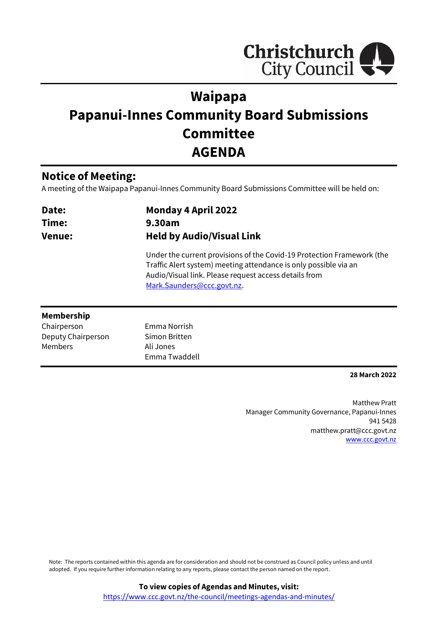

# **Waipapa Papanui-Innes Community Board Submissions Committee AGENDA**

# **Notice of Meeting:**

A meeting of the Waipapa Papanui-Innes Community Board Submissions Committee will be held on:

| Date:<br>Time:<br><b>Venue:</b> | <b>Monday 4 April 2022</b><br>9.30am<br><b>Held by Audio/Visual Link</b>                                                                                                                                                          |  |
|---------------------------------|-----------------------------------------------------------------------------------------------------------------------------------------------------------------------------------------------------------------------------------|--|
|                                 | Under the current provisions of the Covid-19 Protection Framework (the<br>Traffic Alert system) meeting attendance is only possible via an<br>Audio/Visual link. Please request access details from<br>Mark.Saunders@ccc.govt.nz. |  |
| <b>Membership</b>               |                                                                                                                                                                                                                                   |  |
| Chairperson                     | Emma Norrish                                                                                                                                                                                                                      |  |
| Deputy Chairperson              | Simon Britten                                                                                                                                                                                                                     |  |
| Members                         | Ali Jones                                                                                                                                                                                                                         |  |
|                                 | Emma Twaddell                                                                                                                                                                                                                     |  |

### **28 March 2022**

Matthew Pratt Manager Community Governance, Papanui-Innes 941 5428 matthew.pratt@ccc.govt.nz [www.ccc.govt.nz](http://www.ccc.govt.nz/)

Note: The reports contained within this agenda are for consideration and should not be construed as Council policy unless and until adopted. If you require further information relating to any reports, please contact the person named on the report.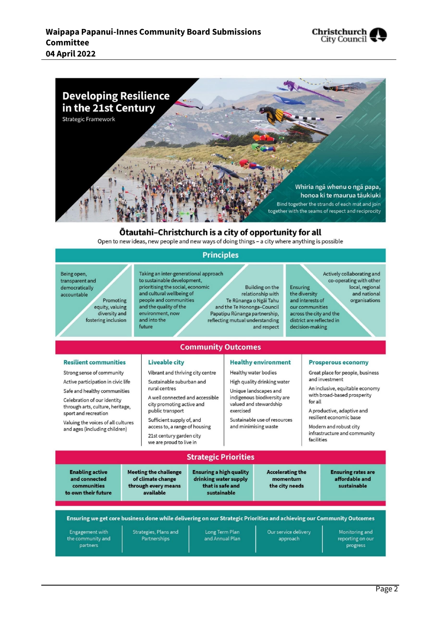



### Otautahi-Christchurch is a city of opportunity for all

Open to new ideas, new people and new ways of doing things - a city where anything is possible

### **Principles**

Being open, transparent and democratically accountable Promoting equity, valuing diversity and fostering inclusion

Taking an inter-generational approach to sustainable development, prioritising the social, economic and cultural wellbeing of people and communities and the quality of the environment, now and into the future

Building on the relationship with Te Rūnanga o Ngai Tahu and the Te Hononga-Council Papatipu Rūnanga partnership, reflecting mutual understanding and respect

Ensuring the diversity and interests of our communities across the city and the district are reflected in

Actively collaborating and co-operating with other local, regional and national organisations

decision-making

## **Community Outcomes**

#### **Resilient communities**

Strong sense of community

Active participation in civic life

Safe and healthy communities Celebration of our identity through arts, culture, heritage,

sport and recreation Valuing the voices of all cultures and ages (including children)

### **Liveable city**

Vibrant and thriving city centre Sustainable suburban and rural centres

A well connected and accessible city promoting active and public transport

Sufficient supply of, and access to, a range of housing 21st century garden city we are proud to live in

### **Healthy environment**

Healthy water bodies

High quality drinking water Unique landscapes and indigenous biodiversity are valued and stewardship exercised

Sustainable use of resources and minimising waste

#### **Prosperous economy**

Great place for people, business and investment

An inclusive, equitable economy with broad-based prosperity for all

A productive, adaptive and resilient economic base

Modern and robust city infrastructure and community facilities

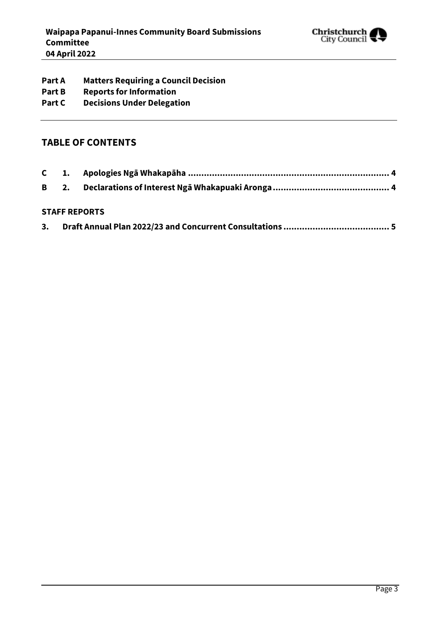

- **Part A Matters Requiring a Council Decision**
- **Part B Reports for Information**
- **Part C Decisions Under Delegation**

## **TABLE OF CONTENTS**

### **STAFF REPORTS**

| 5. |  |
|----|--|
|    |  |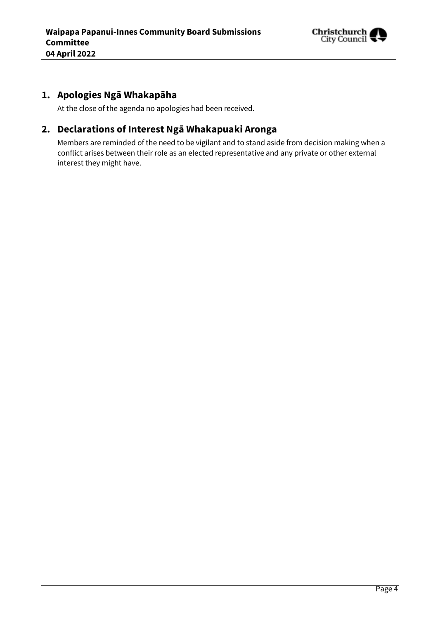

# <span id="page-3-0"></span>**1. Apologies Ngā Whakapāha**

At the close of the agenda no apologies had been received.

## <span id="page-3-1"></span>**2. Declarations of Interest Ngā Whakapuaki Aronga**

Members are reminded of the need to be vigilant and to stand aside from decision making when a conflict arises between their role as an elected representative and any private or other external interest they might have.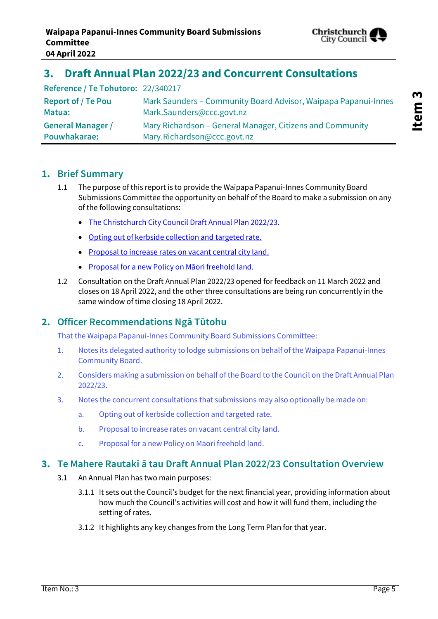

# <span id="page-4-0"></span>**3. Draft Annual Plan 2022/23 and Concurrent Consultations**

| Reference / Te Tohutoro: 22/340217 |                                                                |
|------------------------------------|----------------------------------------------------------------|
| <b>Report of / Te Pou</b>          | Mark Saunders - Community Board Advisor, Waipapa Papanui-Innes |
| Matua:                             | Mark.Saunders@ccc.govt.nz                                      |
| <b>General Manager /</b>           | Mary Richardson – General Manager, Citizens and Community      |
| Pouwhakarae:                       | Mary.Richardson@ccc.govt.nz                                    |

## **1. Brief Summary**

- 1.1 The purpose of this report is to provide the Waipapa Papanui-Innes Community Board Submissions Committee the opportunity on behalf of the Board to make a submission on any of the following consultations:
	- [The Christchurch City Council Draft Annual Plan 2022/23.](https://www.ccc.govt.nz/the-council/haveyoursay/show/494)
	- [Opting out of kerbside collection and targeted rate.](https://ccc.govt.nz/the-council/haveyoursay/show/490)
	- [Proposal to increase rates on vacant central city land.](https://www.ccc.govt.nz/the-council/haveyoursay/show/495)
	- [Proposal for a new Policy on Māori freehold land.](https://www.ccc.govt.nz/the-council/haveyoursay/show/496)
- 1.2 Consultation on the Draft Annual Plan 2022/23 opened for feedback on 11 March 2022 and closes on 18 April 2022, and the other three consultations are being run concurrently in the same window of time closing 18 April 2022.

## **2. Officer Recommendations Ngā Tūtohu**

That the Waipapa Papanui-Innes Community Board Submissions Committee:

- 1. Notes its delegated authority to lodge submissions on behalf of the Waipapa Papanui-Innes Community Board.
- 2. Considers making a submission on behalf of the Board to the Council on the Draft Annual Plan 2022/23.
- 3. Notes the concurrent consultations that submissions may also optionally be made on:
	- a. Opting out of kerbside collection and targeted rate.
	- b. Proposal to increase rates on vacant central city land.
	- c. Proposal for a new Policy on Māori freehold land.

## **3. Te Mahere Rautaki ā tau Draft Annual Plan 2022/23 Consultation Overview**

- 3.1 An Annual Plan has two main purposes:
	- 3.1.1 It sets out the Council's budget for the next financial year, providing information about how much the Council's activities will cost and how it will fund them, including the setting of rates.
	- 3.1.2 It highlights any key changes from the Long Term Plan for that year.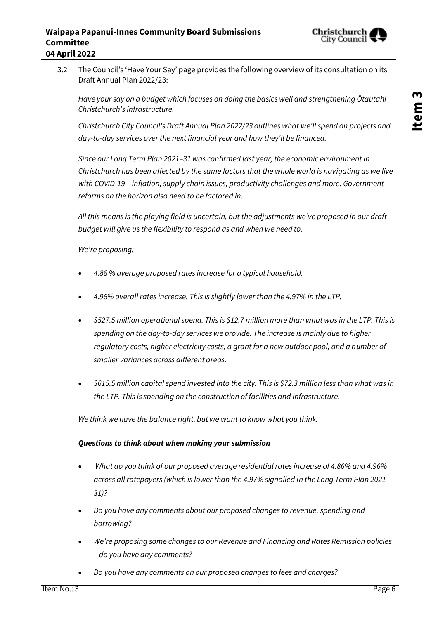

3.2 The Council's 'Have Your Say' page provides the following overview of its consultation on its Draft Annual Plan 2022/23:

*Have your say on a budget which focuses on doing the basics well and strengthening Ōtautahi Christchurch's infrastructure.*

*Christchurch City Council's Draft Annual Plan 2022/23 outlines what we'll spend on projects and day-to-day services over the next financial year and how they'll be financed.*

*Since our Long Term Plan 2021–31 was confirmed last year, the economic environment in Christchurch has been affected by the same factors that the whole world is navigating as we live with COVID-19 – inflation, supply chain issues, productivity challenges and more. Government reforms on the horizon also need to be factored in.*

All this means is the playing field is uncertain, but the adjustments we've proposed in our draft *budget will give us the flexibility to respond as and when we need to.*

*We're proposing:*

- *4.86 % average proposed rates increase for a typical household.*
- *4.96% overall rates increase. This is slightly lower than the 4.97% in the LTP.*
- *\$527.5 million operational spend. This is \$12.7 million more than what was in the LTP. This is spending on the day-to-day services we provide. The increase is mainly due to higher regulatory costs, higher electricity costs, a grant for a new outdoor pool, and a number of smaller variances across different areas.*
- *\$615.5 million capital spend invested into the city. This is \$72.3 million less than what was in the LTP. This is spending on the construction of facilities and infrastructure.*

*We think we have the balance right, but we want to know what you think.*

### *Questions to think about when making your submission*

- *What do you think of our proposed average residential rates increase of 4.86% and 4.96% across all ratepayers (which is lower than the 4.97% signalled in the Long Term Plan 2021– 31)?*
- *Do you have any comments about our proposed changes to revenue, spending and borrowing?*
- *We're proposing some changes to our Revenue and Financing and Rates Remission policies – do you have any comments?*
- *Do you have any comments on our proposed changes to fees and charges?*

**Item 3**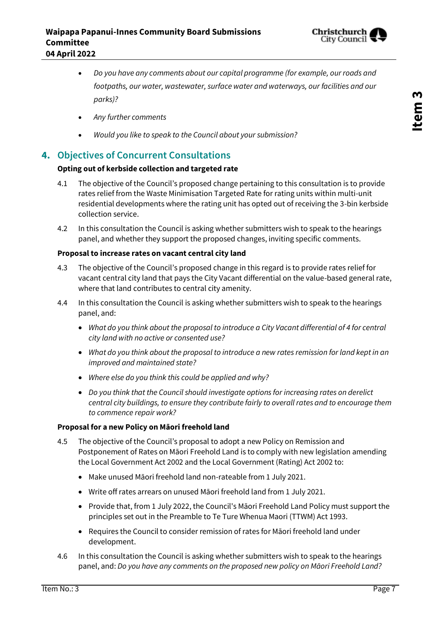

- *Do you have any comments about our capital programme (for example, our roads and footpaths, our water, wastewater, surface water and waterways, our facilities and our parks)?*
- *Any further comments*
- *Would you like to speak to the Council about your submission?*

## **4. Objectives of Concurrent Consultations**

### **Opting out of kerbside collection and targeted rate**

- 4.1 The objective of the Council's proposed change pertaining to this consultation is to provide rates relief from the Waste Minimisation Targeted Rate for rating units within multi-unit residential developments where the rating unit has opted out of receiving the 3-bin kerbside collection service.
- 4.2 In this consultation the Council is asking whether submitters wish to speak to the hearings panel, and whether they support the proposed changes, inviting specific comments.

### **Proposal to increase rates on vacant central city land**

- 4.3 The objective of the Council's proposed change in this regard is to provide rates relief for vacant central city land that pays the City Vacant differential on the value-based general rate, where that land contributes to central city amenity.
- 4.4 In this consultation the Council is asking whether submitters wish to speak to the hearings panel, and:
	- *What do you think about the proposal to introduce a City Vacant differential of 4 for central city land with no active or consented use?*
	- *What do you think about the proposal to introduce a new rates remission for land kept in an improved and maintained state?*
	- *Where else do you think this could be applied and why?*
	- *Do you think that the Council should investigate options for increasing rates on derelict central city buildings, to ensure they contribute fairly to overall rates and to encourage them to commence repair work?*

### **Proposal for a new Policy on Māori freehold land**

- 4.5 The objective of the Council's proposal to adopt a new Policy on Remission and Postponement of Rates on Māori Freehold Land is to comply with new legislation amending the Local Government Act 2002 and the Local Government (Rating) Act 2002 to:
	- Make unused Māori freehold land non-rateable from 1 July 2021.
	- Write off rates arrears on unused Māori freehold land from 1 July 2021.
	- Provide that, from 1 July 2022, the Council's Māori Freehold Land Policy must support the principles set out in the Preamble to Te Ture Whenua Maori (TTWM) Act 1993.
	- Requires the Council to consider remission of rates for Māori freehold land under development.
- 4.6 In this consultation the Council is asking whether submitters wish to speak to the hearings panel, and: *Do you have any comments on the proposed new policy on Māori Freehold Land?*